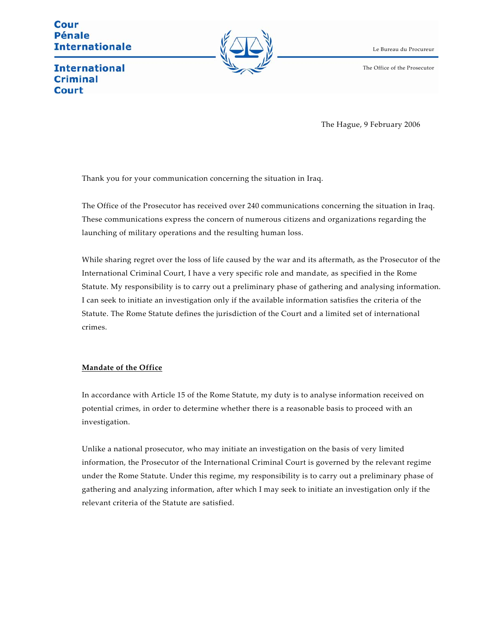Cour **Pénale Internationale** 



Le Bureau du Procureur

The Office of the Prosecutor

**International Criminal** Court

The Hague, 9 February 2006

Thank you for your communication concerning the situation in Iraq.

The Office of the Prosecutor has received over 240 communications concerning the situation in Iraq. These communications express the concern of numerous citizens and organizations regarding the launching of military operations and the resulting human loss.

While sharing regret over the loss of life caused by the war and its aftermath, as the Prosecutor of the International Criminal Court, I have a very specific role and mandate, as specified in the Rome Statute. My responsibility is to carry out a preliminary phase of gathering and analysing information. I can seek to initiate an investigation only if the available information satisfies the criteria of the Statute. The Rome Statute defines the jurisdiction of the Court and a limited set of international crimes.

# **Mandate of the Office**

In accordance with Article 15 of the Rome Statute, my duty is to analyse information received on potential crimes, in order to determine whether there is a reasonable basis to proceed with an investigation.

Unlike a national prosecutor, who may initiate an investigation on the basis of very limited information, the Prosecutor of the International Criminal Court is governed by the relevant regime under the Rome Statute. Under this regime, my responsibility is to carry out a preliminary phase of gathering and analyzing information, after which I may seek to initiate an investigation only if the relevant criteria of the Statute are satisfied.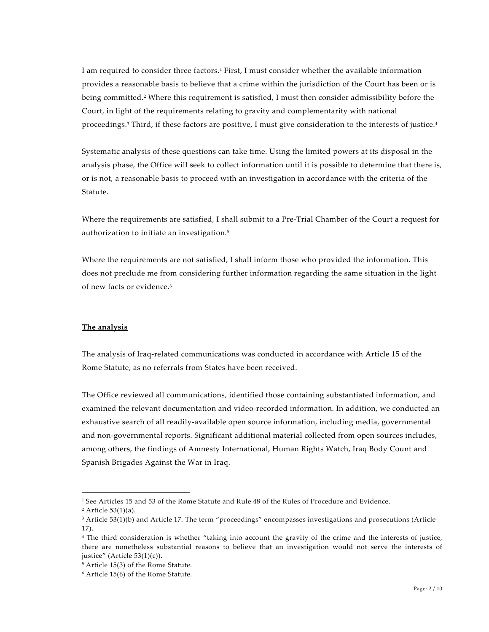I am required to consider three factors.1 First, I must consider whether the available information provides a reasonable basis to believe that a crime within the jurisdiction of the Court has been or is being committed.2 Where this requirement is satisfied, I must then consider admissibility before the Court, in light of the requirements relating to gravity and complementarity with national proceedings.3 Third, if these factors are positive, I must give consideration to the interests of justice.4

Systematic analysis of these questions can take time. Using the limited powers at its disposal in the analysis phase, the Office will seek to collect information until it is possible to determine that there is, or is not, a reasonable basis to proceed with an investigation in accordance with the criteria of the Statute.

Where the requirements are satisfied, I shall submit to a Pre-Trial Chamber of the Court a request for authorization to initiate an investigation.5

Where the requirements are not satisfied, I shall inform those who provided the information. This does not preclude me from considering further information regarding the same situation in the light of new facts or evidence.6

# **The analysis**

The analysis of Iraq-related communications was conducted in accordance with Article 15 of the Rome Statute, as no referrals from States have been received.

The Office reviewed all communications, identified those containing substantiated information, and examined the relevant documentation and video-recorded information. In addition, we conducted an exhaustive search of all readily-available open source information, including media, governmental and non-governmental reports. Significant additional material collected from open sources includes, among others, the findings of Amnesty International, Human Rights Watch, Iraq Body Count and Spanish Brigades Against the War in Iraq.

 $\overline{\phantom{0}}$ 

<sup>1</sup> See Articles 15 and 53 of the Rome Statute and Rule 48 of the Rules of Procedure and Evidence.

 $2$  Article 53(1)(a).

<sup>&</sup>lt;sup>3</sup> Article 53(1)(b) and Article 17. The term "proceedings" encompasses investigations and prosecutions (Article 17).

<sup>4</sup> The third consideration is whether "taking into account the gravity of the crime and the interests of justice, there are nonetheless substantial reasons to believe that an investigation would not serve the interests of justice" (Article 53(1)(c)).

<sup>5</sup> Article 15(3) of the Rome Statute.

<sup>6</sup> Article 15(6) of the Rome Statute.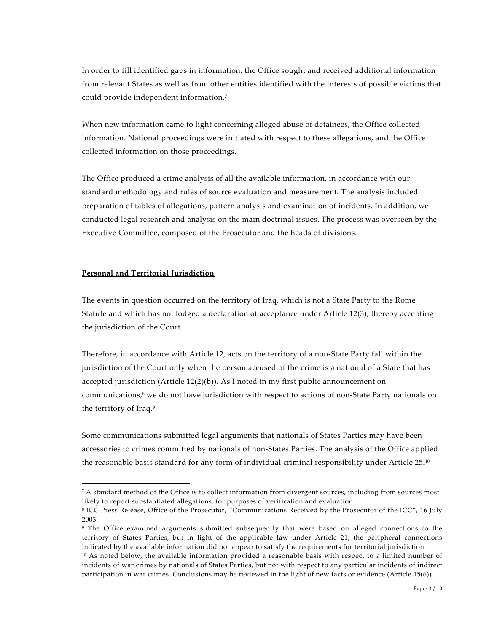In order to fill identified gaps in information, the Office sought and received additional information from relevant States as well as from other entities identified with the interests of possible victims that could provide independent information.7

When new information came to light concerning alleged abuse of detainees, the Office collected information. National proceedings were initiated with respect to these allegations, and the Office collected information on those proceedings.

The Office produced a crime analysis of all the available information, in accordance with our standard methodology and rules of source evaluation and measurement. The analysis included preparation of tables of allegations, pattern analysis and examination of incidents. In addition, we conducted legal research and analysis on the main doctrinal issues. The process was overseen by the Executive Committee, composed of the Prosecutor and the heads of divisions.

### **Personal and Territorial Jurisdiction**

 $\overline{\phantom{0}}$ 

The events in question occurred on the territory of Iraq, which is not a State Party to the Rome Statute and which has not lodged a declaration of acceptance under Article 12(3), thereby accepting the jurisdiction of the Court.

Therefore, in accordance with Article 12, acts on the territory of a non-State Party fall within the jurisdiction of the Court only when the person accused of the crime is a national of a State that has accepted jurisdiction (Article  $12(2)(b)$ ). As I noted in my first public announcement on communications,<sup>8</sup> we do not have jurisdiction with respect to actions of non-State Party nationals on the territory of Iraq.9

Some communications submitted legal arguments that nationals of States Parties may have been accessories to crimes committed by nationals of non-States Parties. The analysis of the Office applied the reasonable basis standard for any form of individual criminal responsibility under Article 25.<sup>10</sup>

<sup>&</sup>lt;sup>7</sup> A standard method of the Office is to collect information from divergent sources, including from sources most likely to report substantiated allegations, for purposes of verification and evaluation.

<sup>8</sup> ICC Press Release, Office of the Prosecutor, "Communications Received by the Prosecutor of the ICC", 16 July 2003.

<sup>9</sup> The Office examined arguments submitted subsequently that were based on alleged connections to the territory of States Parties, but in light of the applicable law under Article 21, the peripheral connections indicated by the available information did not appear to satisfy the requirements for territorial jurisdiction.

<sup>&</sup>lt;sup>10</sup> As noted below, the available information provided a reasonable basis with respect to a limited number of incidents of war crimes by nationals of States Parties, but not with respect to any particular incidents of indirect participation in war crimes. Conclusions may be reviewed in the light of new facts or evidence (Article 15(6)).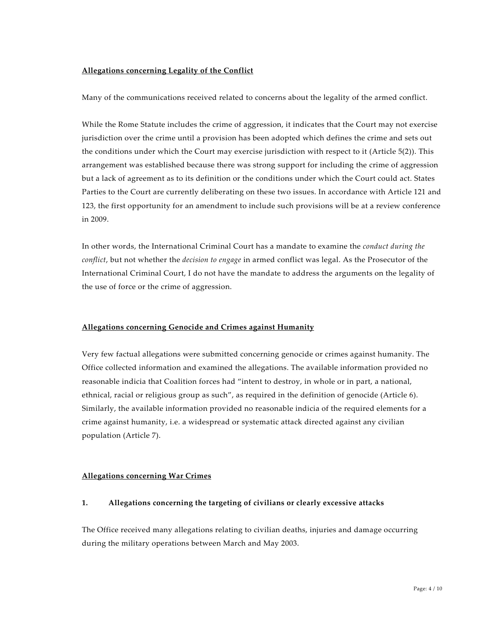## **Allegations concerning Legality of the Conflict**

Many of the communications received related to concerns about the legality of the armed conflict.

While the Rome Statute includes the crime of aggression, it indicates that the Court may not exercise jurisdiction over the crime until a provision has been adopted which defines the crime and sets out the conditions under which the Court may exercise jurisdiction with respect to it (Article 5(2)). This arrangement was established because there was strong support for including the crime of aggression but a lack of agreement as to its definition or the conditions under which the Court could act. States Parties to the Court are currently deliberating on these two issues. In accordance with Article 121 and 123, the first opportunity for an amendment to include such provisions will be at a review conference in 2009.

In other words, the International Criminal Court has a mandate to examine the *conduct during the conflict*, but not whether the *decision to engage* in armed conflict was legal. As the Prosecutor of the International Criminal Court, I do not have the mandate to address the arguments on the legality of the use of force or the crime of aggression.

#### **Allegations concerning Genocide and Crimes against Humanity**

Very few factual allegations were submitted concerning genocide or crimes against humanity. The Office collected information and examined the allegations. The available information provided no reasonable indicia that Coalition forces had "intent to destroy, in whole or in part, a national, ethnical, racial or religious group as such", as required in the definition of genocide (Article 6). Similarly, the available information provided no reasonable indicia of the required elements for a crime against humanity, i.e. a widespread or systematic attack directed against any civilian population (Article 7).

#### **Allegations concerning War Crimes**

### **1. Allegations concerning the targeting of civilians or clearly excessive attacks**

The Office received many allegations relating to civilian deaths, injuries and damage occurring during the military operations between March and May 2003.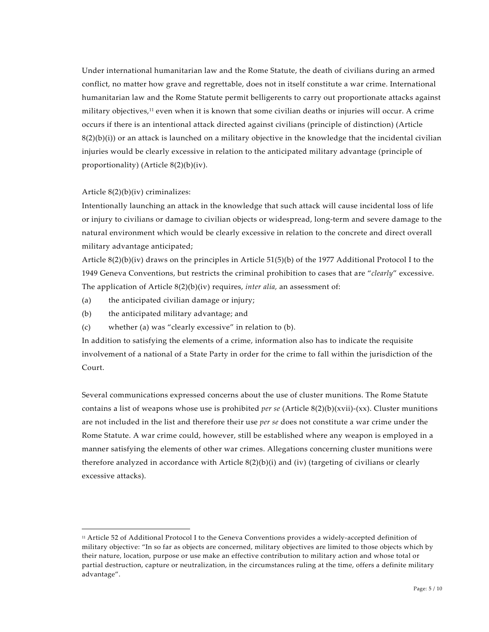Under international humanitarian law and the Rome Statute, the death of civilians during an armed conflict, no matter how grave and regrettable, does not in itself constitute a war crime. International humanitarian law and the Rome Statute permit belligerents to carry out proportionate attacks against military objectives,<sup>11</sup> even when it is known that some civilian deaths or injuries will occur. A crime occurs if there is an intentional attack directed against civilians (principle of distinction) (Article  $8(2)(b)(i)$ ) or an attack is launched on a military objective in the knowledge that the incidental civilian injuries would be clearly excessive in relation to the anticipated military advantage (principle of proportionality) (Article 8(2)(b)(iv).

### Article 8(2)(b)(iv) criminalizes:

 $\overline{\phantom{0}}$ 

Intentionally launching an attack in the knowledge that such attack will cause incidental loss of life or injury to civilians or damage to civilian objects or widespread, long-term and severe damage to the natural environment which would be clearly excessive in relation to the concrete and direct overall military advantage anticipated;

Article 8(2)(b)(iv) draws on the principles in Article 51(5)(b) of the 1977 Additional Protocol I to the 1949 Geneva Conventions, but restricts the criminal prohibition to cases that are "*clearly*" excessive. The application of Article 8(2)(b)(iv) requires, *inter alia,* an assessment of:

- (a) the anticipated civilian damage or injury;
- (b) the anticipated military advantage; and
- (c) whether (a) was "clearly excessive" in relation to (b).

In addition to satisfying the elements of a crime, information also has to indicate the requisite involvement of a national of a State Party in order for the crime to fall within the jurisdiction of the Court.

Several communications expressed concerns about the use of cluster munitions. The Rome Statute contains a list of weapons whose use is prohibited *per se* (Article 8(2)(b)(xvii)-(xx). Cluster munitions are not included in the list and therefore their use *per se* does not constitute a war crime under the Rome Statute. A war crime could, however, still be established where any weapon is employed in a manner satisfying the elements of other war crimes. Allegations concerning cluster munitions were therefore analyzed in accordance with Article  $8(2)(b)(i)$  and (iv) (targeting of civilians or clearly excessive attacks).

<sup>11</sup> Article 52 of Additional Protocol I to the Geneva Conventions provides a widely-accepted definition of military objective: "In so far as objects are concerned, military objectives are limited to those objects which by their nature, location, purpose or use make an effective contribution to military action and whose total or partial destruction, capture or neutralization, in the circumstances ruling at the time, offers a definite military advantage".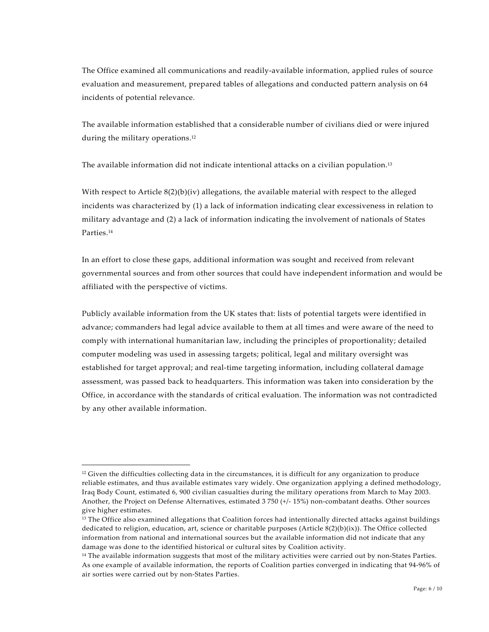The Office examined all communications and readily-available information, applied rules of source evaluation and measurement, prepared tables of allegations and conducted pattern analysis on 64 incidents of potential relevance.

The available information established that a considerable number of civilians died or were injured during the military operations.12

The available information did not indicate intentional attacks on a civilian population.13

With respect to Article  $8(2)(b)(iv)$  allegations, the available material with respect to the alleged incidents was characterized by (1) a lack of information indicating clear excessiveness in relation to military advantage and (2) a lack of information indicating the involvement of nationals of States Parties.14

In an effort to close these gaps, additional information was sought and received from relevant governmental sources and from other sources that could have independent information and would be affiliated with the perspective of victims.

Publicly available information from the UK states that: lists of potential targets were identified in advance; commanders had legal advice available to them at all times and were aware of the need to comply with international humanitarian law, including the principles of proportionality; detailed computer modeling was used in assessing targets; political, legal and military oversight was established for target approval; and real-time targeting information, including collateral damage assessment, was passed back to headquarters. This information was taken into consideration by the Office, in accordance with the standards of critical evaluation. The information was not contradicted by any other available information.

1

 $12$  Given the difficulties collecting data in the circumstances, it is difficult for any organization to produce reliable estimates, and thus available estimates vary widely. One organization applying a defined methodology, Iraq Body Count, estimated 6, 900 civilian casualties during the military operations from March to May 2003. Another, the Project on Defense Alternatives, estimated 3 750 (+/- 15%) non-combatant deaths. Other sources give higher estimates.

<sup>&</sup>lt;sup>13</sup> The Office also examined allegations that Coalition forces had intentionally directed attacks against buildings dedicated to religion, education, art, science or charitable purposes (Article 8(2)(b)(ix)). The Office collected information from national and international sources but the available information did not indicate that any damage was done to the identified historical or cultural sites by Coalition activity.

<sup>&</sup>lt;sup>14</sup> The available information suggests that most of the military activities were carried out by non-States Parties. As one example of available information, the reports of Coalition parties converged in indicating that 94-96% of air sorties were carried out by non-States Parties.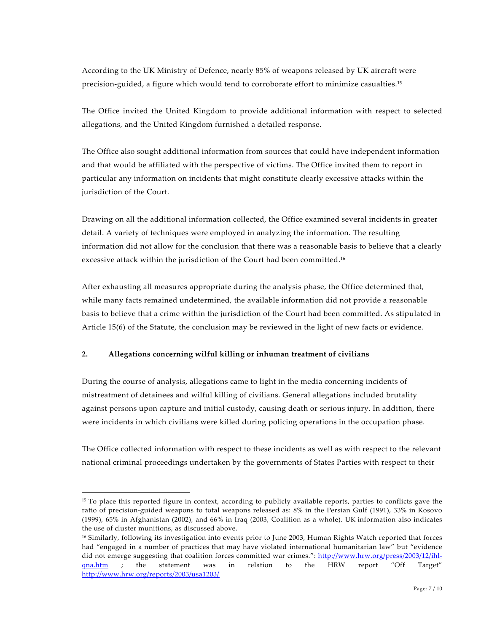According to the UK Ministry of Defence, nearly 85% of weapons released by UK aircraft were precision-guided, a figure which would tend to corroborate effort to minimize casualties.15

The Office invited the United Kingdom to provide additional information with respect to selected allegations, and the United Kingdom furnished a detailed response.

The Office also sought additional information from sources that could have independent information and that would be affiliated with the perspective of victims. The Office invited them to report in particular any information on incidents that might constitute clearly excessive attacks within the jurisdiction of the Court.

Drawing on all the additional information collected, the Office examined several incidents in greater detail. A variety of techniques were employed in analyzing the information. The resulting information did not allow for the conclusion that there was a reasonable basis to believe that a clearly excessive attack within the jurisdiction of the Court had been committed.16

After exhausting all measures appropriate during the analysis phase, the Office determined that, while many facts remained undetermined, the available information did not provide a reasonable basis to believe that a crime within the jurisdiction of the Court had been committed. As stipulated in Article 15(6) of the Statute, the conclusion may be reviewed in the light of new facts or evidence.

# **2. Allegations concerning wilful killing or inhuman treatment of civilians**

 $\overline{\phantom{0}}$ 

During the course of analysis, allegations came to light in the media concerning incidents of mistreatment of detainees and wilful killing of civilians. General allegations included brutality against persons upon capture and initial custody, causing death or serious injury. In addition, there were incidents in which civilians were killed during policing operations in the occupation phase.

The Office collected information with respect to these incidents as well as with respect to the relevant national criminal proceedings undertaken by the governments of States Parties with respect to their

<sup>&</sup>lt;sup>15</sup> To place this reported figure in context, according to publicly available reports, parties to conflicts gave the ratio of precision-guided weapons to total weapons released as: 8% in the Persian Gulf (1991), 33% in Kosovo (1999), 65% in Afghanistan (2002), and 66% in Iraq (2003, Coalition as a whole). UK information also indicates the use of cluster munitions, as discussed above.

<sup>16</sup> Similarly, following its investigation into events prior to June 2003, Human Rights Watch reported that forces had "engaged in a number of practices that may have violated international humanitarian law" but "evidence did not emerge suggesting that coalition forces committed war crimes.": http://www.hrw.org/press/2003/12/ihlqna.htm ; the statement was in relation to the HRW report "Off Target" http://www.hrw.org/reports/2003/usa1203/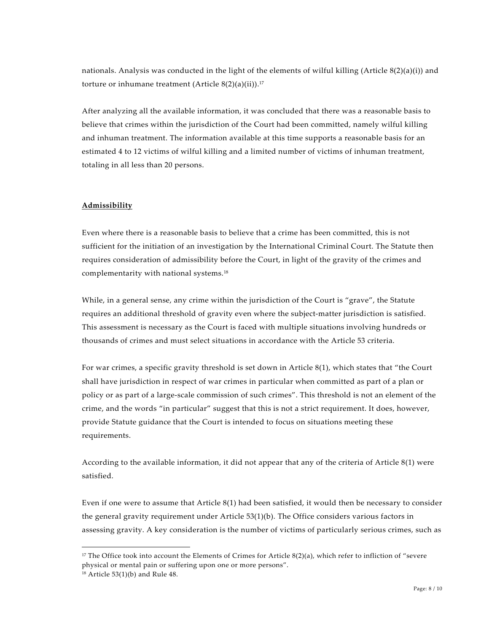nationals. Analysis was conducted in the light of the elements of wilful killing (Article  $8(2)(a)(i)$ ) and torture or inhumane treatment (Article  $8(2)(a)(ii)$ ).<sup>17</sup>

After analyzing all the available information, it was concluded that there was a reasonable basis to believe that crimes within the jurisdiction of the Court had been committed, namely wilful killing and inhuman treatment. The information available at this time supports a reasonable basis for an estimated 4 to 12 victims of wilful killing and a limited number of victims of inhuman treatment, totaling in all less than 20 persons.

# **Admissibility**

Even where there is a reasonable basis to believe that a crime has been committed, this is not sufficient for the initiation of an investigation by the International Criminal Court. The Statute then requires consideration of admissibility before the Court, in light of the gravity of the crimes and complementarity with national systems.18

While, in a general sense, any crime within the jurisdiction of the Court is "grave", the Statute requires an additional threshold of gravity even where the subject-matter jurisdiction is satisfied. This assessment is necessary as the Court is faced with multiple situations involving hundreds or thousands of crimes and must select situations in accordance with the Article 53 criteria.

For war crimes, a specific gravity threshold is set down in Article 8(1), which states that "the Court shall have jurisdiction in respect of war crimes in particular when committed as part of a plan or policy or as part of a large-scale commission of such crimes". This threshold is not an element of the crime, and the words "in particular" suggest that this is not a strict requirement. It does, however, provide Statute guidance that the Court is intended to focus on situations meeting these requirements.

According to the available information, it did not appear that any of the criteria of Article 8(1) were satisfied.

Even if one were to assume that Article 8(1) had been satisfied, it would then be necessary to consider the general gravity requirement under Article 53(1)(b). The Office considers various factors in assessing gravity. A key consideration is the number of victims of particularly serious crimes, such as

 $\overline{\phantom{0}}$ 

<sup>&</sup>lt;sup>17</sup> The Office took into account the Elements of Crimes for Article  $8(2)(a)$ , which refer to infliction of "severe" physical or mental pain or suffering upon one or more persons".

<sup>18</sup> Article 53(1)(b) and Rule 48.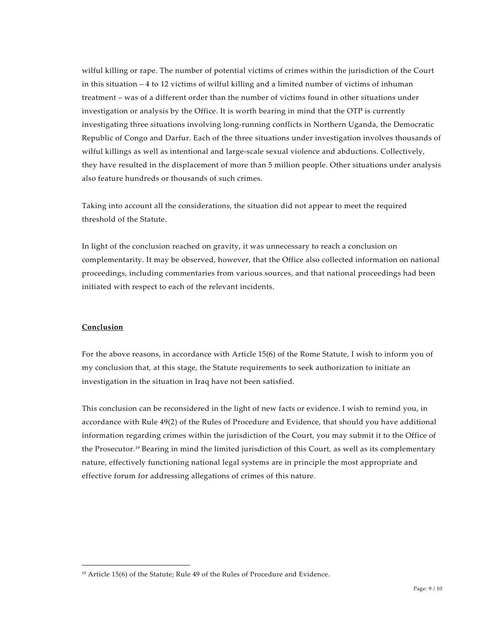wilful killing or rape. The number of potential victims of crimes within the jurisdiction of the Court in this situation – 4 to 12 victims of wilful killing and a limited number of victims of inhuman treatment – was of a different order than the number of victims found in other situations under investigation or analysis by the Office. It is worth bearing in mind that the OTP is currently investigating three situations involving long-running conflicts in Northern Uganda, the Democratic Republic of Congo and Darfur. Each of the three situations under investigation involves thousands of wilful killings as well as intentional and large-scale sexual violence and abductions. Collectively, they have resulted in the displacement of more than 5 million people. Other situations under analysis also feature hundreds or thousands of such crimes.

Taking into account all the considerations, the situation did not appear to meet the required threshold of the Statute.

In light of the conclusion reached on gravity, it was unnecessary to reach a conclusion on complementarity. It may be observed, however, that the Office also collected information on national proceedings, including commentaries from various sources, and that national proceedings had been initiated with respect to each of the relevant incidents.

#### **Conclusion**

1

For the above reasons, in accordance with Article 15(6) of the Rome Statute, I wish to inform you of my conclusion that, at this stage, the Statute requirements to seek authorization to initiate an investigation in the situation in Iraq have not been satisfied.

This conclusion can be reconsidered in the light of new facts or evidence. I wish to remind you, in accordance with Rule 49(2) of the Rules of Procedure and Evidence, that should you have additional information regarding crimes within the jurisdiction of the Court, you may submit it to the Office of the Prosecutor.19 Bearing in mind the limited jurisdiction of this Court, as well as its complementary nature, effectively functioning national legal systems are in principle the most appropriate and effective forum for addressing allegations of crimes of this nature.

<sup>&</sup>lt;sup>19</sup> Article 15(6) of the Statute; Rule 49 of the Rules of Procedure and Evidence.